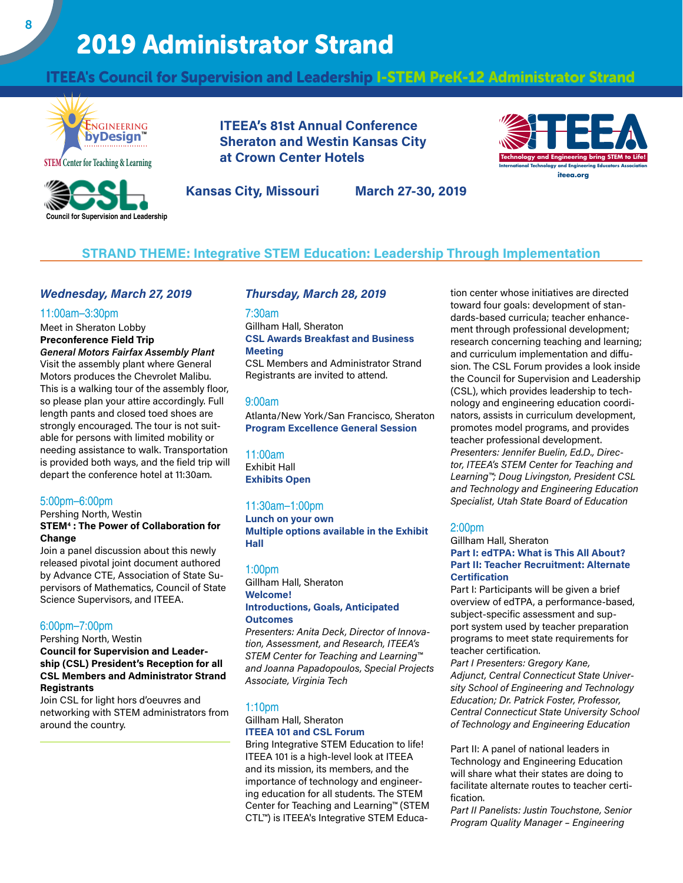# 2019 Administrator Strand

## ITEEA's Council for Supervision and Leadership I-STEM PreK-12 Administrator Strand



 **Council for Supervision and Leadership**

**ITEEA's 81st Annual Conference Sheraton and Westin Kansas City at Crown Center Hotels**



**Kansas City, Missouri March 27-30, 2019**

## **STRAND THEME: Integrative STEM Education: Leadership Through Implementation**

## *Wednesday, March 27, 2019*

#### 11:00am–3:30pm

Meet in Sheraton Lobby **Preconference Field Trip**

*General Motors Fairfax Assembly Plant* Visit the assembly plant where General Motors produces the Chevrolet Malibu. This is a walking tour of the assembly floor, so please plan your attire accordingly. Full length pants and closed toed shoes are strongly encouraged. The tour is not suitable for persons with limited mobility or needing assistance to walk. Transportation is provided both ways, and the field trip will depart the conference hotel at 11:30am.

#### 5:00pm–6:00pm

Pershing North, Westin **STEM4 : The Power of Collaboration for Change**

Join a panel discussion about this newly released pivotal joint document authored by Advance CTE, Association of State Supervisors of Mathematics, Council of State Science Supervisors, and ITEEA.

## 6:00pm–7:00pm

Pershing North, Westin **Council for Supervision and Leadership (CSL) President's Reception for all CSL Members and Administrator Strand Registrants**

Join CSL for light hors d'oeuvres and networking with STEM administrators from around the country.

#### *Thursday, March 28, 2019*

#### 7:30am

Gillham Hall, Sheraton **CSL Awards Breakfast and Business Meeting**

CSL Members and Administrator Strand Registrants are invited to attend.

#### 9:00am

Atlanta/New York/San Francisco, Sheraton **Program Excellence General Session**

#### 11:00am

Exhibit Hall **Exhibits Open**

#### 11:30am–1:00pm

**Lunch on your own Multiple options available in the Exhibit Hall**

#### 1:00pm

#### Gillham Hall, Sheraton **Welcome! Introductions, Goals, Anticipated Outcomes**

*Presenters: Anita Deck, Director of Innovation, Assessment, and Research, ITEEA's STEM Center for Teaching and Learning™ and Joanna Papadopoulos, Special Projects Associate, Virginia Tech*

## 1:10pm

#### Gillham Hall, Sheraton **ITEEA 101 and CSL Forum**

Bring Integrative STEM Education to life! ITEEA 101 is a high-level look at ITEEA and its mission, its members, and the importance of technology and engineering education for all students. The STEM Center for Teaching and Learning™ (STEM CTL™) is ITEEA's Integrative STEM Education center whose initiatives are directed toward four goals: development of standards-based curricula; teacher enhancement through professional development; research concerning teaching and learning; and curriculum implementation and diffusion. The CSL Forum provides a look inside the Council for Supervision and Leadership (CSL), which provides leadership to technology and engineering education coordinators, assists in curriculum development, promotes model programs, and provides teacher professional development. *Presenters: Jennifer Buelin, Ed.D., Director, ITEEA's STEM Center for Teaching and Learning™; Doug Livingston, President CSL and Technology and Engineering Education Specialist, Utah State Board of Education*

#### 2:00pm

#### Gillham Hall, Sheraton **Part I: edTPA: What is This All About? Part II: Teacher Recruitment: Alternate Certification**

Part I: Participants will be given a brief overview of edTPA, a performance-based, subject-specific assessment and support system used by teacher preparation programs to meet state requirements for teacher certification.

*Part I Presenters: Gregory Kane, Adjunct, Central Connecticut State University School of Engineering and Technology Education; Dr. Patrick Foster, Professor, Central Connecticut State University School of Technology and Engineering Education*

Part II: A panel of national leaders in Technology and Engineering Education will share what their states are doing to facilitate alternate routes to teacher certification.

*Part II Panelists: Justin Touchstone, Senior Program Quality Manager – Engineering*